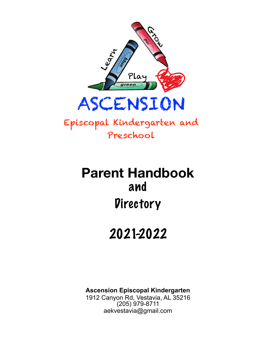

Episcopal Kindergarten and Preschool

# **Parent Handbook**  and **Directory**

# 2021-2022

**Ascension Episcopal Kindergarten**  1912 Canyon Rd, Vestavia, AL 35216 (205) 979-8711 [aekvestavia@gmail.com](mailto:aekvestavia@gmail.com)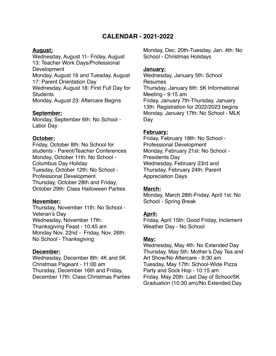#### **CALENDAR - 2021-2022**

#### **August:**

Wednesday, August 11- Friday, August 13: Teacher Work Days/Professional **Development** Monday, August 16 and Tuesday, August 17: Parent Orientation Day Wednesday, August 18: First Full Day for **Students** Monday, August 23: Aftercare Begins

#### **September:**

Monday, September 6th: No School - Labor Day

#### **October:**

Friday, October 8th: No School for students - Parent/Teacher Conferences Monday, October 11th: No School - Columbus Day Holiday Tuesday, October 12th: No School - Professional Development Thursday, October 28th and Friday, October 29th: Class Halloween Parties

#### **November:**

Thursday, November 11th: No School - Veteran's Day Wednesday, November 17th: Thanksgiving Feast - 10:45 am Monday Nov. 22nd - Friday, Nov. 26th: No School - Thanksgiving

#### **December:**

Wednesday, December 8th: 4K and 5K Christmas Pageant - 11:00 am Thursday, December 16th and Friday, December 17th: Class Christmas Parties Monday, Dec. 20th-Tuesday, Jan. 4th: No School - Christmas Holidays

#### **January:**

Wednesday, January 5th: School Resumes Thursday, January 6th: 5K Informational Meeting - 9:15 am Friday, January 7th-Thursday, January 13th: Registration for 2022/2023 begins Monday, January 17th: No School - MLK Day

#### **February:**

Friday, February 18th: No School - Professional Development Monday, February 21st: No School - Presidents Day Wednesday, February 23rd and Thursday, February 24th: Parent Appreciation Days

#### **March:**

Monday, March 28th-Friday, April 1st: No School - Spring Break

#### **April:**

Friday, April 15th: Good Friday, Inclement Weather Day - No School

#### **May:**

Wednesday, May 4th: No Extended Day Thursday, May 5th: Mother's Day Tea and Art Show/No Aftercare - 9:30 am Tuesday, May 17th: School-Wide Pizza Party and Sock Hop - 10:15 am Friday, May 20th: Last Day of School/5K Graduation (10:30 am)/No Extended Day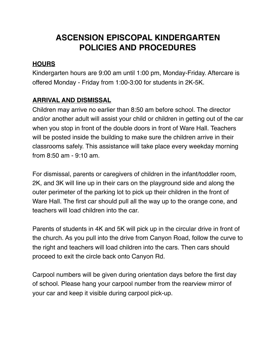## **ASCENSION EPISCOPAL KINDERGARTEN POLICIES AND PROCEDURES**

#### **HOURS**

Kindergarten hours are 9:00 am until 1:00 pm, Monday-Friday. Aftercare is offered Monday - Friday from 1:00-3:00 for students in 2K-5K.

#### **ARRIVAL AND DISMISSAL**

Children may arrive no earlier than 8:50 am before school. The director and/or another adult will assist your child or children in getting out of the car when you stop in front of the double doors in front of Ware Hall. Teachers will be posted inside the building to make sure the children arrive in their classrooms safely. This assistance will take place every weekday morning from 8:50 am - 9:10 am.

For dismissal, parents or caregivers of children in the infant/toddler room, 2K, and 3K will line up in their cars on the playground side and along the outer perimeter of the parking lot to pick up their children in the front of Ware Hall. The first car should pull all the way up to the orange cone, and teachers will load children into the car.

Parents of students in 4K and 5K will pick up in the circular drive in front of the church. As you pull into the drive from Canyon Road, follow the curve to the right and teachers will load children into the cars. Then cars should proceed to exit the circle back onto Canyon Rd.

Carpool numbers will be given during orientation days before the first day of school. Please hang your carpool number from the rearview mirror of your car and keep it visible during carpool pick-up.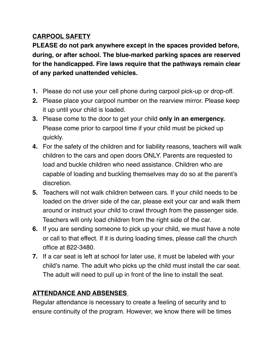#### **CARPOOL SAFETY**

**PLEASE do not park anywhere except in the spaces provided before, during, or after school. The blue-marked parking spaces are reserved for the handicapped. Fire laws require that the pathways remain clear of any parked unattended vehicles.**

- **1.** Please do not use your cell phone during carpool pick-up or drop-off.
- **2.** Please place your carpool number on the rearview mirror. Please keep it up until your child is loaded.
- **3.** Please come to the door to get your child **only in an emergency.** Please come prior to carpool time if your child must be picked up quickly.
- **4.** For the safety of the children and for liability reasons, teachers will walk children to the cars and open doors ONLY. Parents are requested to load and buckle children who need assistance. Children who are capable of loading and buckling themselves may do so at the parent's discretion.
- **5.** Teachers will not walk children between cars. If your child needs to be loaded on the driver side of the car, please exit your car and walk them around or instruct your child to crawl through from the passenger side. Teachers will only load children from the right side of the car.
- **6.** If you are sending someone to pick up your child, we must have a note or call to that effect. If it is during loading times, please call the church office at 822-3480.
- **7.** If a car seat is left at school for later use, it must be labeled with your child's name. The adult who picks up the child must install the car seat. The adult will need to pull up in front of the line to install the seat.

## **ATTENDANCE AND ABSENSES**

Regular attendance is necessary to create a feeling of security and to ensure continuity of the program. However, we know there will be times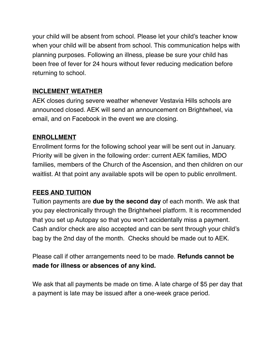your child will be absent from school. Please let your child's teacher know when your child will be absent from school. This communication helps with planning purposes. Following an illness, please be sure your child has been free of fever for 24 hours without fever reducing medication before returning to school.

#### **INCLEMENT WEATHER**

AEK closes during severe weather whenever Vestavia Hills schools are announced closed. AEK will send an announcement on Brightwheel, via email, and on Facebook in the event we are closing.

#### **ENROLLMENT**

Enrollment forms for the following school year will be sent out in January. Priority will be given in the following order: current AEK families, MDO families, members of the Church of the Ascension, and then children on our waitlist. At that point any available spots will be open to public enrollment.

#### **FEES AND TUITION**

Tuition payments are **due by the second day** of each month. We ask that you pay electronically through the Brightwheel platform. It is recommended that you set up Autopay so that you won't accidentally miss a payment. Cash and/or check are also accepted and can be sent through your child's bag by the 2nd day of the month. Checks should be made out to AEK.

Please call if other arrangements need to be made. **Refunds cannot be made for illness or absences of any kind.**

We ask that all payments be made on time. A late charge of \$5 per day that a payment is late may be issued after a one-week grace period.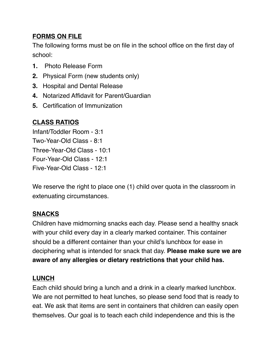## **FORMS ON FILE**

The following forms must be on file in the school office on the first day of school:

- **1.** Photo Release Form
- **2.** Physical Form (new students only)
- **3.** Hospital and Dental Release
- **4.** Notarized Affidavit for Parent/Guardian
- **5.** Certification of Immunization

## **CLASS RATIOS**

Infant/Toddler Room - 3:1 Two-Year-Old Class - 8:1 Three-Year-Old Class - 10:1 Four-Year-Old Class - 12:1 Five-Year-Old Class - 12:1

We reserve the right to place one (1) child over quota in the classroom in extenuating circumstances.

#### **SNACKS**

Children have midmorning snacks each day. Please send a healthy snack with your child every day in a clearly marked container. This container should be a different container than your child's lunchbox for ease in deciphering what is intended for snack that day. **Please make sure we are aware of any allergies or dietary restrictions that your child has.** 

#### **LUNCH**

Each child should bring a lunch and a drink in a clearly marked lunchbox. We are not permitted to heat lunches, so please send food that is ready to eat. We ask that items are sent in containers that children can easily open themselves. Our goal is to teach each child independence and this is the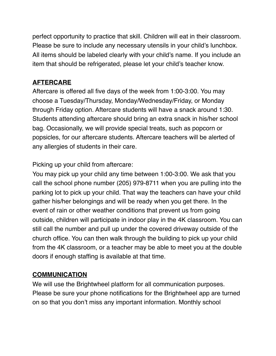perfect opportunity to practice that skill. Children will eat in their classroom. Please be sure to include any necessary utensils in your child's lunchbox. All items should be labeled clearly with your child's name. If you include an item that should be refrigerated, please let your child's teacher know.

#### **AFTERCARE**

Aftercare is offered all five days of the week from 1:00-3:00. You may choose a Tuesday/Thursday, Monday/Wednesday/Friday, or Monday through Friday option. Aftercare students will have a snack around 1:30. Students attending aftercare should bring an extra snack in his/her school bag. Occasionally, we will provide special treats, such as popcorn or popsicles, for our aftercare students. Aftercare teachers will be alerted of any allergies of students in their care.

Picking up your child from aftercare:

You may pick up your child any time between 1:00-3:00. We ask that you call the school phone number (205) 979-8711 when you are pulling into the parking lot to pick up your child. That way the teachers can have your child gather his/her belongings and will be ready when you get there. In the event of rain or other weather conditions that prevent us from going outside, children will participate in indoor play in the 4K classroom. You can still call the number and pull up under the covered driveway outside of the church office. You can then walk through the building to pick up your child from the 4K classroom, or a teacher may be able to meet you at the double doors if enough staffing is available at that time.

#### **COMMUNICATION**

We will use the Brightwheel platform for all communication purposes. Please be sure your phone notifications for the Brightwheel app are turned on so that you don't miss any important information. Monthly school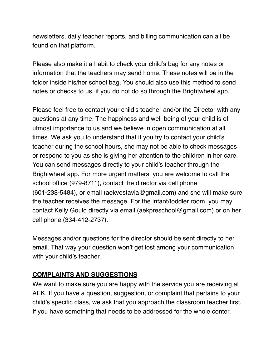newsletters, daily teacher reports, and billing communication can all be found on that platform.

Please also make it a habit to check your child's bag for any notes or information that the teachers may send home. These notes will be in the folder inside his/her school bag. You should also use this method to send notes or checks to us, if you do not do so through the Brightwheel app.

Please feel free to contact your child's teacher and/or the Director with any questions at any time. The happiness and well-being of your child is of utmost importance to us and we believe in open communication at all times. We ask you to understand that if you try to contact your child's teacher during the school hours, she may not be able to check messages or respond to you as she is giving her attention to the children in her care. You can send messages directly to your child's teacher through the Brightwheel app. For more urgent matters, you are welcome to call the school office (979-8711), contact the director via cell phone  $(601-238-5484)$ , or email  $(aekvestavia@gmail.com)$  $(aekvestavia@gmail.com)$  and she will make sure the teacher receives the message. For the infant/toddler room, you may contact Kelly Gould directly via email ([aekpreschool@gmail.com\)](mailto:aekpreschool@gmail.com) or on her cell phone (334-412-2737).

Messages and/or questions for the director should be sent directly to her email. That way your question won't get lost among your communication with your child's teacher.

#### **COMPLAINTS AND SUGGESTIONS**

We want to make sure you are happy with the service you are receiving at AEK. If you have a question, suggestion, or complaint that pertains to your child's specific class, we ask that you approach the classroom teacher first. If you have something that needs to be addressed for the whole center,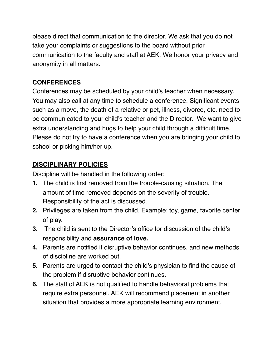please direct that communication to the director. We ask that you do not take your complaints or suggestions to the board without prior communication to the faculty and staff at AEK. We honor your privacy and anonymity in all matters.

### **CONFERENCES**

Conferences may be scheduled by your child's teacher when necessary. You may also call at any time to schedule a conference. Significant events such as a move, the death of a relative or pet, illness, divorce, etc. need to be communicated to your child's teacher and the Director. We want to give extra understanding and hugs to help your child through a difficult time. Please do not try to have a conference when you are bringing your child to school or picking him/her up.

## **DISCIPLINARY POLICIES**

Discipline will be handled in the following order:

- **1.** The child is first removed from the trouble-causing situation. The amount of time removed depends on the severity of trouble. Responsibility of the act is discussed.
- **2.** Privileges are taken from the child. Example: toy, game, favorite center of play.
- **3.** The child is sent to the Director's office for discussion of the child's responsibility and **assurance of love.**
- **4.** Parents are notified if disruptive behavior continues, and new methods of discipline are worked out.
- **5.** Parents are urged to contact the child's physician to find the cause of the problem if disruptive behavior continues.
- **6.** The staff of AEK is not qualified to handle behavioral problems that require extra personnel. AEK will recommend placement in another situation that provides a more appropriate learning environment.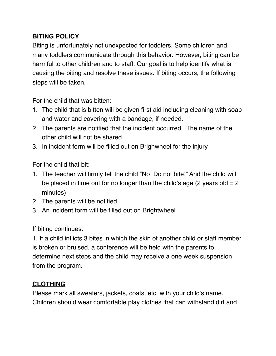#### **BITING POLICY**

Biting is unfortunately not unexpected for toddlers. Some children and many toddlers communicate through this behavior. However, biting can be harmful to other children and to staff. Our goal is to help identify what is causing the biting and resolve these issues. If biting occurs, the following steps will be taken.

For the child that was bitten:

- 1. The child that is bitten will be given first aid including cleaning with soap and water and covering with a bandage, if needed.
- 2. The parents are notified that the incident occurred. The name of the other child will not be shared.
- 3. In incident form will be filled out on Brighwheel for the injury

For the child that bit:

- 1. The teacher will firmly tell the child "No! Do not bite!" And the child will be placed in time out for no longer than the child's age (2 years old  $= 2$ ) minutes)
- 2. The parents will be notified
- 3. An incident form will be filled out on Brightwheel

If biting continues:

1. If a child inflicts 3 bites in which the skin of another child or staff member is broken or bruised, a conference will be held with the parents to determine next steps and the child may receive a one week suspension from the program.

## **CLOTHING**

Please mark all sweaters, jackets, coats, etc. with your child's name. Children should wear comfortable play clothes that can withstand dirt and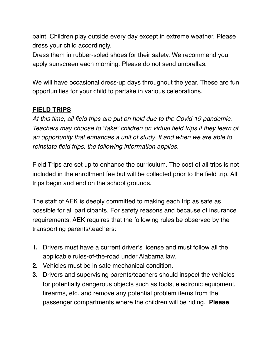paint. Children play outside every day except in extreme weather. Please dress your child accordingly.

Dress them in rubber-soled shoes for their safety. We recommend you apply sunscreen each morning. Please do not send umbrellas.

We will have occasional dress-up days throughout the year. These are fun opportunities for your child to partake in various celebrations.

#### **FIELD TRIPS**

*At this time, all field trips are put on hold due to the Covid-19 pandemic. Teachers may choose to "take" children on virtual field trips if they learn of an opportunity that enhances a unit of study. If and when we are able to reinstate field trips, the following information applies.* 

Field Trips are set up to enhance the curriculum. The cost of all trips is not included in the enrollment fee but will be collected prior to the field trip. All trips begin and end on the school grounds.

The staff of AEK is deeply committed to making each trip as safe as possible for all participants. For safety reasons and because of insurance requirements, AEK requires that the following rules be observed by the transporting parents/teachers:

- **1.** Drivers must have a current driver's license and must follow all the applicable rules-of-the-road under Alabama law.
- **2.** Vehicles must be in safe mechanical condition.
- **3.** Drivers and supervising parents/teachers should inspect the vehicles for potentially dangerous objects such as tools, electronic equipment, firearms, etc. and remove any potential problem items from the passenger compartments where the children will be riding. **Please**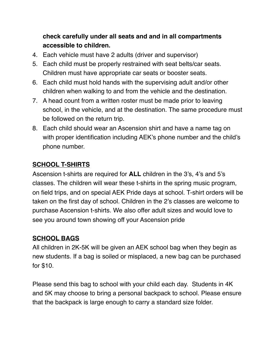## **check carefully under all seats and and in all compartments accessible to children.**

- 4. Each vehicle must have 2 adults (driver and supervisor)
- 5. Each child must be properly restrained with seat belts/car seats. Children must have appropriate car seats or booster seats.
- 6. Each child must hold hands with the supervising adult and/or other children when walking to and from the vehicle and the destination.
- 7. A head count from a written roster must be made prior to leaving school, in the vehicle, and at the destination. The same procedure must be followed on the return trip.
- 8. Each child should wear an Ascension shirt and have a name tag on with proper identification including AEK's phone number and the child's phone number.

## **SCHOOL T-SHIRTS**

Ascension t-shirts are required for **ALL** children in the 3's, 4's and 5's classes. The children will wear these t-shirts in the spring music program, on field trips, and on special AEK Pride days at school. T-shirt orders will be taken on the first day of school. Children in the 2's classes are welcome to purchase Ascension t-shirts. We also offer adult sizes and would love to see you around town showing off your Ascension pride

## **SCHOOL BAGS**

All children in 2K-5K will be given an AEK school bag when they begin as new students. If a bag is soiled or misplaced, a new bag can be purchased for \$10.

Please send this bag to school with your child each day. Students in 4K and 5K may choose to bring a personal backpack to school. Please ensure that the backpack is large enough to carry a standard size folder.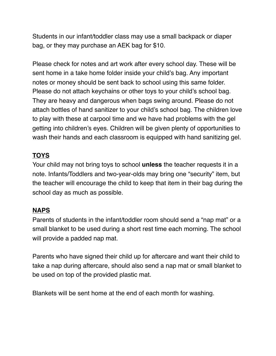Students in our infant/toddler class may use a small backpack or diaper bag, or they may purchase an AEK bag for \$10.

Please check for notes and art work after every school day. These will be sent home in a take home folder inside your child's bag. Any important notes or money should be sent back to school using this same folder. Please do not attach keychains or other toys to your child's school bag. They are heavy and dangerous when bags swing around. Please do not attach bottles of hand sanitizer to your child's school bag. The children love to play with these at carpool time and we have had problems with the gel getting into children's eyes. Children will be given plenty of opportunities to wash their hands and each classroom is equipped with hand sanitizing gel.

#### **TOYS**

Your child may not bring toys to school **unless** the teacher requests it in a note. Infants/Toddlers and two-year-olds may bring one "security" item, but the teacher will encourage the child to keep that item in their bag during the school day as much as possible.

#### **NAPS**

Parents of students in the infant/toddler room should send a "nap mat" or a small blanket to be used during a short rest time each morning. The school will provide a padded nap mat.

Parents who have signed their child up for aftercare and want their child to take a nap during aftercare, should also send a nap mat or small blanket to be used on top of the provided plastic mat.

Blankets will be sent home at the end of each month for washing.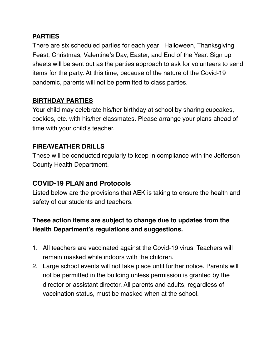#### **PARTIES**

There are six scheduled parties for each year: Halloween, Thanksgiving Feast, Christmas, Valentine's Day, Easter, and End of the Year. Sign up sheets will be sent out as the parties approach to ask for volunteers to send items for the party. At this time, because of the nature of the Covid-19 pandemic, parents will not be permitted to class parties.

#### **BIRTHDAY PARTIES**

Your child may celebrate his/her birthday at school by sharing cupcakes, cookies, etc. with his/her classmates. Please arrange your plans ahead of time with your child's teacher.

#### **FIRE/WEATHER DRILLS**

These will be conducted regularly to keep in compliance with the Jefferson County Health Department.

#### **COVID-19 PLAN and Protocols**

Listed below are the provisions that AEK is taking to ensure the health and safety of our students and teachers.

## **These action items are subject to change due to updates from the Health Department's regulations and suggestions.**

- 1. All teachers are vaccinated against the Covid-19 virus. Teachers will remain masked while indoors with the children.
- 2. Large school events will not take place until further notice. Parents will not be permitted in the building unless permission is granted by the director or assistant director. All parents and adults, regardless of vaccination status, must be masked when at the school.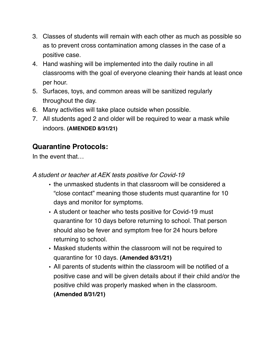- 3. Classes of students will remain with each other as much as possible so as to prevent cross contamination among classes in the case of a positive case.
- 4. Hand washing will be implemented into the daily routine in all classrooms with the goal of everyone cleaning their hands at least once per hour.
- 5. Surfaces, toys, and common areas will be sanitized regularly throughout the day.
- 6. Many activities will take place outside when possible.
- 7. All students aged 2 and older will be required to wear a mask while indoors. **(AMENDED 8/31/21)**

## **Quarantine Protocols:**

In the event that…

*A student or teacher at AEK tests positive for Covid-19*

- the unmasked students in that classroom will be considered a "close contact" meaning those students must quarantine for 10 days and monitor for symptoms.
- A student or teacher who tests positive for Covid-19 must quarantine for 10 days before returning to school. That person should also be fever and symptom free for 24 hours before returning to school.
- Masked students within the classroom will not be required to quarantine for 10 days. **(Amended 8/31/21)**
- All parents of students within the classroom will be notified of a positive case and will be given details about if their child and/or the positive child was properly masked when in the classroom. **(Amended 8/31/21)**